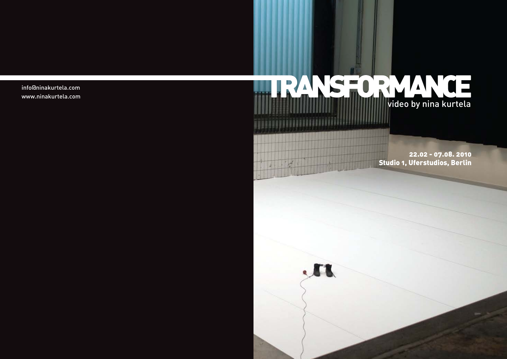info@ninakurtela.com www.ninakurtela.com



22.02 - 07.08. 2010 Studio 1, Uferstudios, Berlin



 $1 - 7$